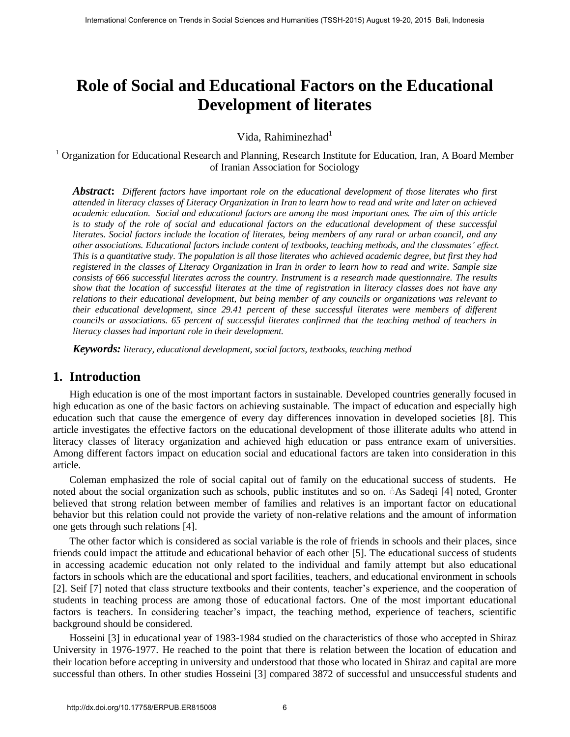# **Role of Social and Educational Factors on the Educational Development of literates**

Vida, Rahiminezhad $1$ 

<sup>1</sup> Organization for Educational Research and Planning, Research Institute for Education, Iran, A Board Member of Iranian Association for Sociology

*Abstract***:** *Different factors have important role on the educational development of those literates who first attended in literacy classes of Literacy Organization in Iran to learn how to read and write and later on achieved academic education. Social and educational factors are among the most important ones. The aim of this article is to study of the role of social and educational factors on the educational development of these successful literates. Social factors include the location of literates, being members of any rural or urban council, and any other associations. Educational factors include content of textbooks, teaching methods, and the classmates' effect. This is a quantitative study. The population is all those literates who achieved academic degree, but first they had registered in the classes of Literacy Organization in Iran in order to learn how to read and write. Sample size consists of 666 successful literates across the country. Instrument is a research made questionnaire. The results show that the location of successful literates at the time of registration in literacy classes does not have any relations to their educational development, but being member of any councils or organizations was relevant to their educational development, since 29.41 percent of these successful literates were members of different councils or associations. 65 percent of successful literates confirmed that the teaching method of teachers in literacy classes had important role in their development.*  Fractional Conference on Trends in Social Science on Trends in Conference on Trends in Conference on Trends in Social Sciences and Humanities (TSSH-2015) August 19-20, 2015 Bali, Radius Ramathan Expected in Trends in Soci

*Keywords: literacy, educational development, social factors, textbooks, teaching method* 

## **1. Introduction**

High education is one of the most important factors in sustainable. Developed countries generally focused in high education as one of the basic factors on achieving sustainable. The impact of education and especially high education such that cause the emergence of every day differences innovation in developed societies [8]. This article investigates the effective factors on the educational development of those illiterate adults who attend in literacy classes of literacy organization and achieved high education or pass entrance exam of universities. Among different factors impact on education social and educational factors are taken into consideration in this article.

Coleman emphasized the role of social capital out of family on the educational success of students. He noted about the social organization such as schools, public institutes and so on. َ As Sadeqi [4] noted, Gronter believed that strong relation between member of families and relatives is an important factor on educational behavior but this relation could not provide the variety of non-relative relations and the amount of information one gets through such relations [4].

The other factor which is considered as social variable is the role of friends in schools and their places, since friends could impact the attitude and educational behavior of each other [5]. The educational success of students in accessing academic education not only related to the individual and family attempt but also educational factors in schools which are the educational and sport facilities, teachers, and educational environment in schools [2]. Seif [7] noted that class structure textbooks and their contents, teacher's experience, and the cooperation of students in teaching process are among those of educational factors. One of the most important educational factors is teachers. In considering teacher's impact, the teaching method, experience of teachers, scientific background should be considered.

Hosseini [3] in educational year of 1983-1984 studied on the characteristics of those who accepted in Shiraz University in 1976-1977. He reached to the point that there is relation between the location of education and their location before accepting in university and understood that those who located in Shiraz and capital are more successful than others. In other studies Hosseini [3] compared 3872 of successful and unsuccessful students and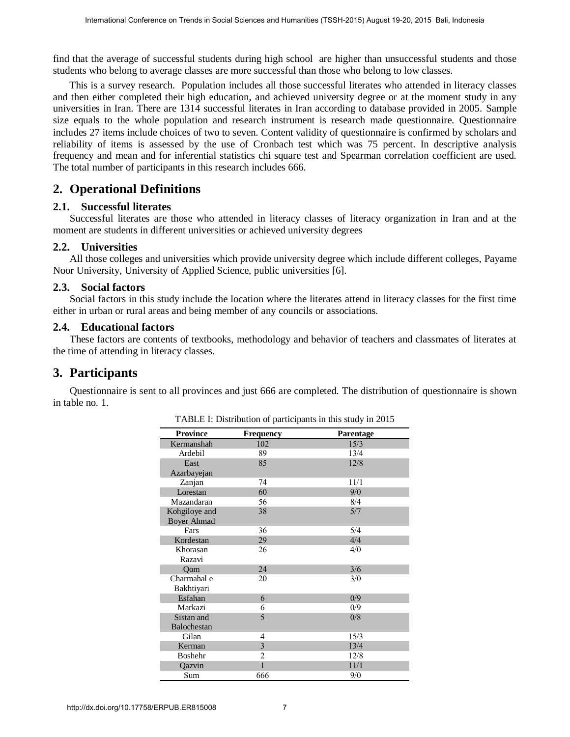find that the average of successful students during high school are higher than unsuccessful students and those students who belong to average classes are more successful than those who belong to low classes.

This is a survey research. Population includes all those successful literates who attended in literacy classes and then either completed their high education, and achieved university degree or at the moment study in any universities in Iran. There are 1314 successful literates in Iran according to database provided in 2005. Sample size equals to the whole population and research instrument is research made questionnaire. Questionnaire includes 27 items include choices of two to seven. Content validity of questionnaire is confirmed by scholars and reliability of items is assessed by the use of Cronbach test which was 75 percent. In descriptive analysis frequency and mean and for inferential statistics chi square test and Spearman correlation coefficient are used. The total number of participants in this research includes 666.

## **2. Operational Definitions**

#### **2.1. Successful literates**

Successful literates are those who attended in literacy classes of literacy organization in Iran and at the moment are students in different universities or achieved university degrees

#### **2.2. Universities**

All those colleges and universities which provide university degree which include different colleges, Payame Noor University, University of Applied Science, public universities [6].

#### **2.3. Social factors**

Social factors in this study include the location where the literates attend in literacy classes for the first time either in urban or rural areas and being member of any councils or associations.

#### **2.4. Educational factors**

These factors are contents of textbooks, methodology and behavior of teachers and classmates of literates at the time of attending in literacy classes.

## **3. Participants**

Questionnaire is sent to all provinces and just 666 are completed. The distribution of questionnaire is shown in table no. 1.

| ability of items is assessed by the use of Cronbach test which was 75 percent. In descriptive a<br>total number of participants in this research includes 666.<br><b>Operational Definitions</b> |                                     |                                | I that the average of successful students during high school are higher than unsuccessful students an<br>dents who belong to average classes are more successful than those who belong to low classes.<br>This is a survey research. Population includes all those successful literates who attended in literacy<br>then either completed their high education, and achieved university degree or at the moment study<br>versities in Iran. There are 1314 successful literates in Iran according to database provided in 2005.<br>e equals to the whole population and research instrument is research made questionnaire. Questi<br>ludes 27 items include choices of two to seven. Content validity of questionnaire is confirmed by schol |  |
|--------------------------------------------------------------------------------------------------------------------------------------------------------------------------------------------------|-------------------------------------|--------------------------------|-----------------------------------------------------------------------------------------------------------------------------------------------------------------------------------------------------------------------------------------------------------------------------------------------------------------------------------------------------------------------------------------------------------------------------------------------------------------------------------------------------------------------------------------------------------------------------------------------------------------------------------------------------------------------------------------------------------------------------------------------|--|
|                                                                                                                                                                                                  |                                     |                                | quency and mean and for inferential statistics chi square test and Spearman correlation coefficient an                                                                                                                                                                                                                                                                                                                                                                                                                                                                                                                                                                                                                                        |  |
|                                                                                                                                                                                                  |                                     |                                |                                                                                                                                                                                                                                                                                                                                                                                                                                                                                                                                                                                                                                                                                                                                               |  |
| . Successful literates<br>ment are students in different universities or achieved university degrees                                                                                             |                                     |                                | Successful literates are those who attended in literacy classes of literacy organization in Iran and                                                                                                                                                                                                                                                                                                                                                                                                                                                                                                                                                                                                                                          |  |
| . Universities<br>or University, University of Applied Science, public universities [6].                                                                                                         |                                     |                                | All those colleges and universities which provide university degree which include different colleges, 1                                                                                                                                                                                                                                                                                                                                                                                                                                                                                                                                                                                                                                       |  |
| <b>Social factors</b><br>er in urban or rural areas and being member of any councils or associations.                                                                                            |                                     |                                | Social factors in this study include the location where the literates attend in literacy classes for the fill                                                                                                                                                                                                                                                                                                                                                                                                                                                                                                                                                                                                                                 |  |
| . Educational factors<br>time of attending in literacy classes.                                                                                                                                  |                                     |                                | These factors are contents of textbooks, methodology and behavior of teachers and classmates of lite                                                                                                                                                                                                                                                                                                                                                                                                                                                                                                                                                                                                                                          |  |
| <b>Participants</b>                                                                                                                                                                              |                                     |                                |                                                                                                                                                                                                                                                                                                                                                                                                                                                                                                                                                                                                                                                                                                                                               |  |
| able no. 1.                                                                                                                                                                                      |                                     |                                | Questionnaire is sent to all provinces and just 666 are completed. The distribution of questionnaire is                                                                                                                                                                                                                                                                                                                                                                                                                                                                                                                                                                                                                                       |  |
|                                                                                                                                                                                                  |                                     |                                | TABLE I: Distribution of participants in this study in 2015                                                                                                                                                                                                                                                                                                                                                                                                                                                                                                                                                                                                                                                                                   |  |
|                                                                                                                                                                                                  | <b>Province</b><br>Kermanshah       | Frequency<br>102               | Parentage<br>15/3                                                                                                                                                                                                                                                                                                                                                                                                                                                                                                                                                                                                                                                                                                                             |  |
|                                                                                                                                                                                                  | Ardebil                             | 89                             | 13/4                                                                                                                                                                                                                                                                                                                                                                                                                                                                                                                                                                                                                                                                                                                                          |  |
|                                                                                                                                                                                                  | East                                | 85                             | 12/8                                                                                                                                                                                                                                                                                                                                                                                                                                                                                                                                                                                                                                                                                                                                          |  |
|                                                                                                                                                                                                  | Azarbayejan                         |                                |                                                                                                                                                                                                                                                                                                                                                                                                                                                                                                                                                                                                                                                                                                                                               |  |
|                                                                                                                                                                                                  |                                     |                                |                                                                                                                                                                                                                                                                                                                                                                                                                                                                                                                                                                                                                                                                                                                                               |  |
|                                                                                                                                                                                                  | Zanjan                              | 74                             | 11/1                                                                                                                                                                                                                                                                                                                                                                                                                                                                                                                                                                                                                                                                                                                                          |  |
|                                                                                                                                                                                                  | Lorestan                            | 60                             | 9/0                                                                                                                                                                                                                                                                                                                                                                                                                                                                                                                                                                                                                                                                                                                                           |  |
|                                                                                                                                                                                                  | Mazandaran                          | 56                             | 8/4                                                                                                                                                                                                                                                                                                                                                                                                                                                                                                                                                                                                                                                                                                                                           |  |
|                                                                                                                                                                                                  | Kohgiloye and<br><b>Boyer Ahmad</b> | 38                             | 5/7                                                                                                                                                                                                                                                                                                                                                                                                                                                                                                                                                                                                                                                                                                                                           |  |
|                                                                                                                                                                                                  | Fars                                | 36                             | 5/4                                                                                                                                                                                                                                                                                                                                                                                                                                                                                                                                                                                                                                                                                                                                           |  |
|                                                                                                                                                                                                  | Kordestan                           | 29                             | 4/4                                                                                                                                                                                                                                                                                                                                                                                                                                                                                                                                                                                                                                                                                                                                           |  |
|                                                                                                                                                                                                  | Khorasan                            | 26                             | 4/0                                                                                                                                                                                                                                                                                                                                                                                                                                                                                                                                                                                                                                                                                                                                           |  |
|                                                                                                                                                                                                  | Razavi                              |                                |                                                                                                                                                                                                                                                                                                                                                                                                                                                                                                                                                                                                                                                                                                                                               |  |
|                                                                                                                                                                                                  | Qom                                 | 24                             | 3/6                                                                                                                                                                                                                                                                                                                                                                                                                                                                                                                                                                                                                                                                                                                                           |  |
|                                                                                                                                                                                                  | Charmahal e<br>Bakhtiyari           | 20                             | 3/0                                                                                                                                                                                                                                                                                                                                                                                                                                                                                                                                                                                                                                                                                                                                           |  |
|                                                                                                                                                                                                  | Esfahan                             | 6                              | 0/9                                                                                                                                                                                                                                                                                                                                                                                                                                                                                                                                                                                                                                                                                                                                           |  |
|                                                                                                                                                                                                  | Markazi                             | 6                              | 0/9                                                                                                                                                                                                                                                                                                                                                                                                                                                                                                                                                                                                                                                                                                                                           |  |
|                                                                                                                                                                                                  | Sistan and                          | 5                              | 0/8                                                                                                                                                                                                                                                                                                                                                                                                                                                                                                                                                                                                                                                                                                                                           |  |
|                                                                                                                                                                                                  | Balochestan                         |                                |                                                                                                                                                                                                                                                                                                                                                                                                                                                                                                                                                                                                                                                                                                                                               |  |
|                                                                                                                                                                                                  | Gilan                               | $\overline{4}$                 | 15/3                                                                                                                                                                                                                                                                                                                                                                                                                                                                                                                                                                                                                                                                                                                                          |  |
|                                                                                                                                                                                                  | Kerman                              | $\mathfrak{Z}$                 | 13/4                                                                                                                                                                                                                                                                                                                                                                                                                                                                                                                                                                                                                                                                                                                                          |  |
|                                                                                                                                                                                                  | Boshehr                             | $\overline{2}$<br>$\mathbf{1}$ | 12/8                                                                                                                                                                                                                                                                                                                                                                                                                                                                                                                                                                                                                                                                                                                                          |  |
|                                                                                                                                                                                                  | Qazvin<br>Sum                       | 666                            | 11/1<br>9/0                                                                                                                                                                                                                                                                                                                                                                                                                                                                                                                                                                                                                                                                                                                                   |  |

| TABLE I: Distribution of participants in this study in 2015 |  |
|-------------------------------------------------------------|--|
|-------------------------------------------------------------|--|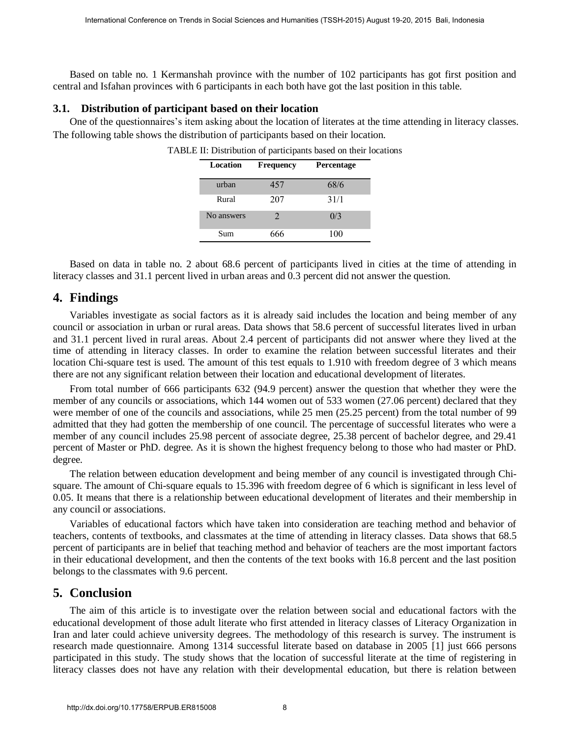Based on table no. 1 Kermanshah province with the number of 102 participants has got first position and central and Isfahan provinces with 6 participants in each both have got the last position in this table.

#### **3.1. Distribution of participant based on their location**

One of the questionnaires's item asking about the location of literates at the time attending in literacy classes. The following table shows the distribution of participants based on their location.

| Location   | <b>Frequency</b>      | Percentage |
|------------|-----------------------|------------|
| urban      | 457                   | 68/6       |
| Rural      | 207                   | 31/1       |
| No answers | $\mathcal{D}_{\cdot}$ | 0/3        |
| Sum        | 666                   | 100        |

TABLE II: Distribution of participants based on their locations

Based on data in table no. 2 about 68.6 percent of participants lived in cities at the time of attending in literacy classes and 31.1 percent lived in urban areas and 0.3 percent did not answer the question.

#### **4. Findings**

Variables investigate as social factors as it is already said includes the location and being member of any council or association in urban or rural areas. Data shows that 58.6 percent of successful literates lived in urban and 31.1 percent lived in rural areas. About 2.4 percent of participants did not answer where they lived at the time of attending in literacy classes. In order to examine the relation between successful literates and their location Chi-square test is used. The amount of this test equals to 1.910 with freedom degree of 3 which means there are not any significant relation between their location and educational development of literates.

From total number of 666 participants 632 (94.9 percent) answer the question that whether they were the member of any councils or associations, which 144 women out of 533 women (27.06 percent) declared that they were member of one of the councils and associations, while 25 men (25.25 percent) from the total number of 99 admitted that they had gotten the membership of one council. The percentage of successful literates who were a member of any council includes 25.98 percent of associate degree, 25.38 percent of bachelor degree, and 29.41 percent of Master or PhD. degree. As it is shown the highest frequency belong to those who had master or PhD. degree. Fracence on Trends in Social Science or Units in Social Sciences and the matter of 102 participants has get first positive and Humanities and Humanities (TSSH-2015) August 19-20, 2015 Bali, 19-20, 2015 Balis and Humanitie

The relation between education development and being member of any council is investigated through Chisquare. The amount of Chi-square equals to 15.396 with freedom degree of 6 which is significant in less level of 0.05. It means that there is a relationship between educational development of literates and their membership in any council or associations.

Variables of educational factors which have taken into consideration are teaching method and behavior of teachers, contents of textbooks, and classmates at the time of attending in literacy classes. Data shows that 68.5 percent of participants are in belief that teaching method and behavior of teachers are the most important factors in their educational development, and then the contents of the text books with 16.8 percent and the last position belongs to the classmates with 9.6 percent.

### **5. Conclusion**

The aim of this article is to investigate over the relation between social and educational factors with the educational development of those adult literate who first attended in literacy classes of Literacy Organization in Iran and later could achieve university degrees. The methodology of this research is survey. The instrument is research made questionnaire. Among 1314 successful literate based on database in 2005 [1] just 666 persons participated in this study. The study shows that the location of successful literate at the time of registering in literacy classes does not have any relation with their developmental education, but there is relation between